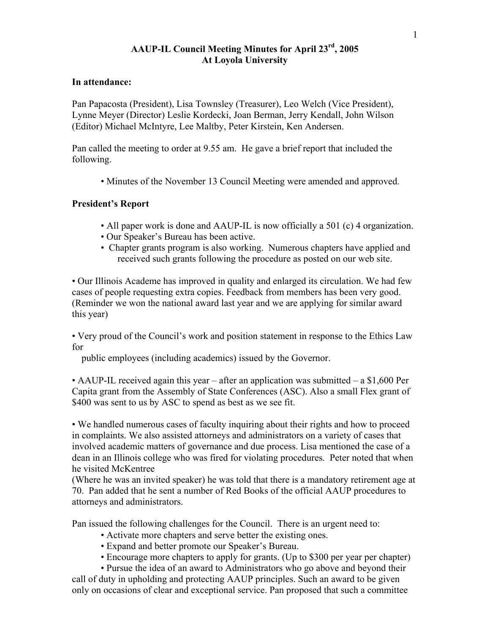# **AAUP-IL Council Meeting Minutes for April 23rd, 2005 At Loyola University**

### **In attendance:**

Pan Papacosta (President), Lisa Townsley (Treasurer), Leo Welch (Vice President), Lynne Meyer (Director) Leslie Kordecki, Joan Berman, Jerry Kendall, John Wilson (Editor) Michael McIntyre, Lee Maltby, Peter Kirstein, Ken Andersen.

Pan called the meeting to order at 9.55 am. He gave a brief report that included the following.

• Minutes of the November 13 Council Meeting were amended and approved.

## **President's Report**

- All paper work is done and AAUP-IL is now officially a 501 (c) 4 organization.
- Our Speaker's Bureau has been active.
- Chapter grants program is also working. Numerous chapters have applied and received such grants following the procedure as posted on our web site.

• Our Illinois Academe has improved in quality and enlarged its circulation. We had few cases of people requesting extra copies. Feedback from members has been very good. (Reminder we won the national award last year and we are applying for similar award this year)

• Very proud of the Council's work and position statement in response to the Ethics Law for

public employees (including academics) issued by the Governor.

• AAUP-IL received again this year – after an application was submitted – a \$1,600 Per Capita grant from the Assembly of State Conferences (ASC). Also a small Flex grant of \$400 was sent to us by ASC to spend as best as we see fit.

• We handled numerous cases of faculty inquiring about their rights and how to proceed in complaints. We also assisted attorneys and administrators on a variety of cases that involved academic matters of governance and due process. Lisa mentioned the case of a dean in an Illinois college who was fired for violating procedures. Peter noted that when he visited McKentree

(Where he was an invited speaker) he was told that there is a mandatory retirement age at 70. Pan added that he sent a number of Red Books of the official AAUP procedures to attorneys and administrators.

Pan issued the following challenges for the Council. There is an urgent need to:

- Activate more chapters and serve better the existing ones.
- Expand and better promote our Speaker's Bureau.
- Encourage more chapters to apply for grants. (Up to \$300 per year per chapter)

 • Pursue the idea of an award to Administrators who go above and beyond their call of duty in upholding and protecting AAUP principles. Such an award to be given only on occasions of clear and exceptional service. Pan proposed that such a committee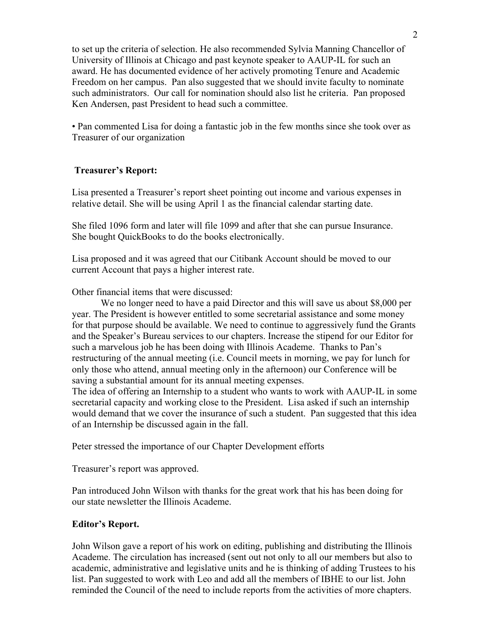to set up the criteria of selection. He also recommended Sylvia Manning Chancellor of University of Illinois at Chicago and past keynote speaker to AAUP-IL for such an award. He has documented evidence of her actively promoting Tenure and Academic Freedom on her campus. Pan also suggested that we should invite faculty to nominate such administrators. Our call for nomination should also list he criteria. Pan proposed Ken Andersen, past President to head such a committee.

• Pan commented Lisa for doing a fantastic job in the few months since she took over as Treasurer of our organization

## **Treasurer's Report:**

Lisa presented a Treasurer's report sheet pointing out income and various expenses in relative detail. She will be using April 1 as the financial calendar starting date.

She filed 1096 form and later will file 1099 and after that she can pursue Insurance. She bought QuickBooks to do the books electronically.

Lisa proposed and it was agreed that our Citibank Account should be moved to our current Account that pays a higher interest rate.

Other financial items that were discussed:

We no longer need to have a paid Director and this will save us about \$8,000 per year. The President is however entitled to some secretarial assistance and some money for that purpose should be available. We need to continue to aggressively fund the Grants and the Speaker's Bureau services to our chapters. Increase the stipend for our Editor for such a marvelous job he has been doing with Illinois Academe. Thanks to Pan's restructuring of the annual meeting (i.e. Council meets in morning, we pay for lunch for only those who attend, annual meeting only in the afternoon) our Conference will be saving a substantial amount for its annual meeting expenses.

The idea of offering an Internship to a student who wants to work with AAUP-IL in some secretarial capacity and working close to the President. Lisa asked if such an internship would demand that we cover the insurance of such a student. Pan suggested that this idea of an Internship be discussed again in the fall.

Peter stressed the importance of our Chapter Development efforts

Treasurer's report was approved.

Pan introduced John Wilson with thanks for the great work that his has been doing for our state newsletter the Illinois Academe.

#### **Editor's Report.**

John Wilson gave a report of his work on editing, publishing and distributing the Illinois Academe. The circulation has increased (sent out not only to all our members but also to academic, administrative and legislative units and he is thinking of adding Trustees to his list. Pan suggested to work with Leo and add all the members of IBHE to our list. John reminded the Council of the need to include reports from the activities of more chapters.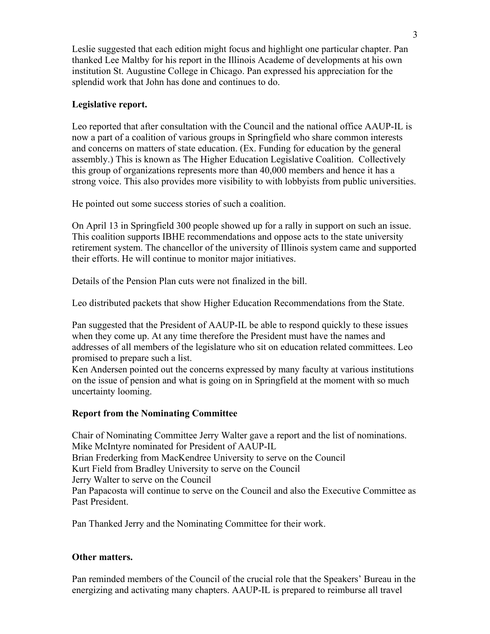Leslie suggested that each edition might focus and highlight one particular chapter. Pan thanked Lee Maltby for his report in the Illinois Academe of developments at his own institution St. Augustine College in Chicago. Pan expressed his appreciation for the splendid work that John has done and continues to do.

# **Legislative report.**

Leo reported that after consultation with the Council and the national office AAUP-IL is now a part of a coalition of various groups in Springfield who share common interests and concerns on matters of state education. (Ex. Funding for education by the general assembly.) This is known as The Higher Education Legislative Coalition. Collectively this group of organizations represents more than 40,000 members and hence it has a strong voice. This also provides more visibility to with lobbyists from public universities.

He pointed out some success stories of such a coalition.

On April 13 in Springfield 300 people showed up for a rally in support on such an issue. This coalition supports IBHE recommendations and oppose acts to the state university retirement system. The chancellor of the university of Illinois system came and supported their efforts. He will continue to monitor major initiatives.

Details of the Pension Plan cuts were not finalized in the bill.

Leo distributed packets that show Higher Education Recommendations from the State.

Pan suggested that the President of AAUP-IL be able to respond quickly to these issues when they come up. At any time therefore the President must have the names and addresses of all members of the legislature who sit on education related committees. Leo promised to prepare such a list.

Ken Andersen pointed out the concerns expressed by many faculty at various institutions on the issue of pension and what is going on in Springfield at the moment with so much uncertainty looming.

## **Report from the Nominating Committee**

Chair of Nominating Committee Jerry Walter gave a report and the list of nominations. Mike McIntyre nominated for President of AAUP-IL Brian Frederking from MacKendree University to serve on the Council Kurt Field from Bradley University to serve on the Council Jerry Walter to serve on the Council Pan Papacosta will continue to serve on the Council and also the Executive Committee as Past President.

Pan Thanked Jerry and the Nominating Committee for their work.

## **Other matters.**

Pan reminded members of the Council of the crucial role that the Speakers' Bureau in the energizing and activating many chapters. AAUP-IL is prepared to reimburse all travel